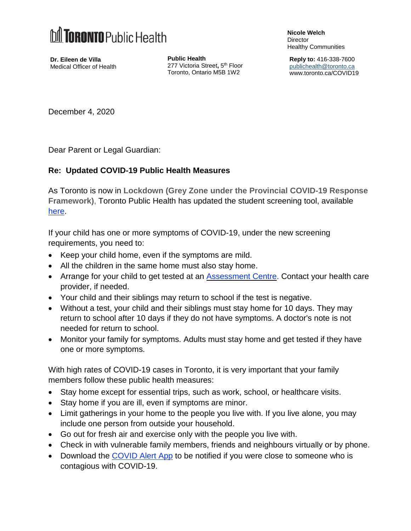

**Dr. Eileen de Villa** Medical Officer of Health **Public Health** 277 Victoria Street**,** 5 th Floor Toronto, Ontario M5B 1W2 **Nicole Welch** Director Healthy Communities

**Reply to:** 416-338-7600 [publichealth@toronto.ca](mailto:publichealth@toronto.ca) [www.toronto.ca/COVID19](http://www.toronto.ca/COVID19)

December 4, 2020

Dear Parent or Legal Guardian:

## **Re: Updated COVID-19 Public Health Measures**

As Toronto is now in **Lockdown (Grey Zone under the Provincial COVID-19 Response Framework)**, Toronto Public Health has updated the student screening tool, available [here.](https://www.toronto.ca/home/covid-19/covid-19-reopening-recovery-rebuild/covid-19-reopening-guidelines-for-businesses-organizations/covid-19-guidance-elementary-secondary-schools/?accordion=school-screening-tools)

If your child has one or more symptoms of COVID-19, under the new screening requirements, you need to:

- Keep your child home, even if the symptoms are mild.
- All the children in the same home must also stay home.
- Arrange for your child to get tested at an [Assessment](https://www.toronto.ca/home/covid-19/covid-19-what-you-should-do/covid-19-have-symptoms-or-been-exposed/covid-19-assessment-centres/?accordion=assessment-centre-locations-details) Centre. Contact your health care provider, if needed.
- Your child and their siblings may return to school if the test is negative.
- Without a test, your child and their siblings must stay home for 10 days. They may return to school after 10 days if they do not have symptoms. A doctor's note is not needed for return to school.
- Monitor your family for symptoms. Adults must stay home and get tested if they have one or more symptoms.

With high rates of COVID-19 cases in Toronto, it is very important that your family members follow these public health measures:

- Stay home except for essential trips, such as work, school, or healthcare visits.
- Stay home if you are ill, even if symptoms are minor.
- Limit gatherings in your home to the people you live with. If you live alone, you may include one person from outside your household.
- Go out for fresh air and exercise only with the people you live with.
- Check in with vulnerable family members, friends and neighbours virtually or by phone.
- Download the [COVID](https://www.canada.ca/en/public-health/services/diseases/coronavirus-disease-covid-19/covid-alert.html) Alert App to be notified if you were close to someone who is contagious with COVID-19.